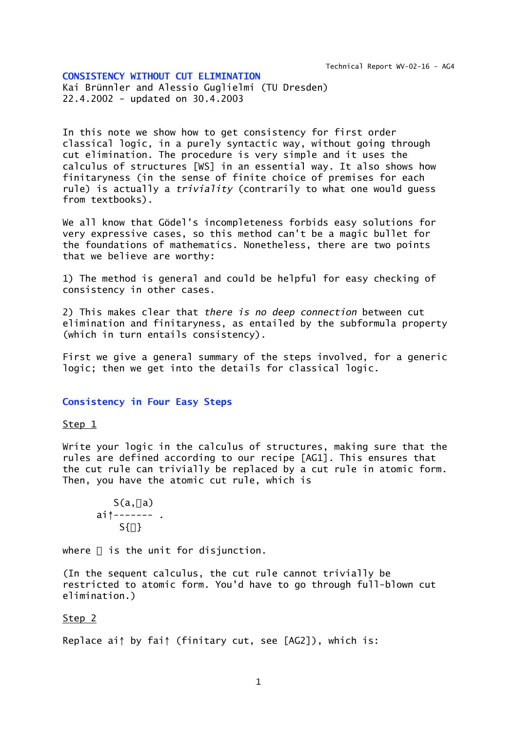#### **CONSISTENCY WITHOUT CUT ELIMINATION**

Kai Brünnler and Alessio Guglielmi (TU Dresden) 22.4.2002 - updated on 30.4.2003

In this note we show how to get consistency for first order classical logic, in a purely syntactic way, without going through cut elimination. The procedure is very simple and it uses the calculus of structures [WS] in an essential way. It also shows how finitaryness (in the sense of finite choice of premises for each rule) is actually a *triviality* (contrarily to what one would guess from textbooks).

We all know that Gödel's incompleteness forbids easy solutions for very expressive cases, so this method can't be a magic bullet for the foundations of mathematics. Nonetheless, there are two points that we believe are worthy:

1) The method is general and could be helpful for easy checking of consistency in other cases.

2) This makes clear that *there is no deep connection* between cut elimination and finitaryness, as entailed by the subformula property (which in turn entails consistency).

First we give a general summary of the steps involved, for a generic logic; then we get into the details for classical logic.

#### **Consistency in Four Easy Steps**

#### Step 1

Write your logic in the calculus of structures, making sure that the rules are defined according to our recipe [AG1]. This ensures that the cut rule can trivially be replaced by a cut rule in atomic form. Then, you have the atomic cut rule, which is

$$
S(a,-a)
$$
  
ai $\uparrow$ ---  
S $\{\perp\}$ 

where  $\perp$  is the unit for disjunction.

(In the sequent calculus, the cut rule cannot trivially be restricted to atomic form. You'd have to go through full-blown cut elimination.)

# Step 2

Replace ai↑ by fai↑ (finitary cut, see [AG2]), which is: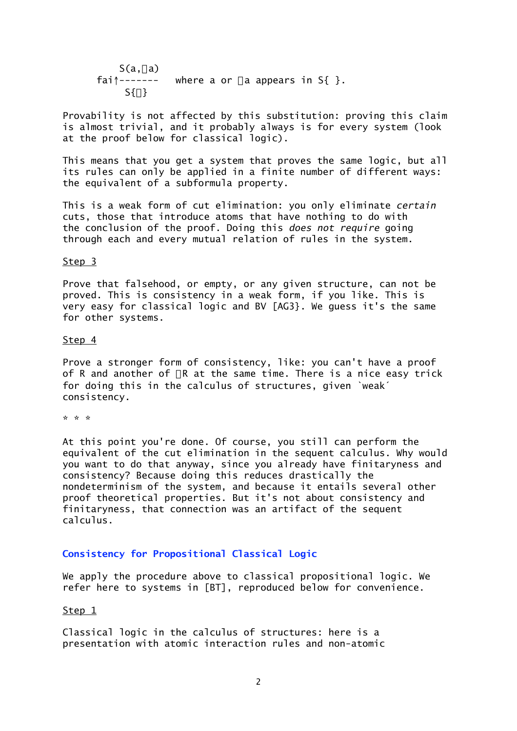$S(a, \neg a)$  $f$ ai $\uparrow$ ------ where a or  $\neg$  a appears in S{ }.  $S{1}$ 

Provability is not affected by this substitution: proving this claim is almost trivial, and it probably always is for every system (look at the proof below for classical logic).

This means that you get a system that proves the same logic, but all its rules can only be applied in a finite number of different ways: the equivalent of a subformula property.

This is a weak form of cut elimination: you only eliminate *certain* cuts, those that introduce atoms that have nothing to do with the conclusion of the proof. Doing this *does not require* going through each and every mutual relation of rules in the system.

# Step 3

Prove that falsehood, or empty, or any given structure, can not be proved. This is consistency in a weak form, if you like. This is very easy for classical logic and BV [AG3}. We guess it's the same for other systems.

### Step 4

Prove a stronger form of consistency, like: you can't have a proof of R and another of  $\neg R$  at the same time. There is a nice easy trick for doing this in the calculus of structures, given `weak´ consistency.

\* \* \*

At this point you're done. Of course, you still can perform the equivalent of the cut elimination in the sequent calculus. Why would you want to do that anyway, since you already have finitaryness and consistency? Because doing this reduces drastically the nondeterminism of the system, and because it entails several other proof theoretical properties. But it's not about consistency and finitaryness, that connection was an artifact of the sequent calculus.

## **Consistency for Propositional Classical Logic**

We apply the procedure above to classical propositional logic. We refer here to systems in [BT], reproduced below for convenience.

## Step 1

Classical logic in the calculus of structures: here is a presentation with atomic interaction rules and non-atomic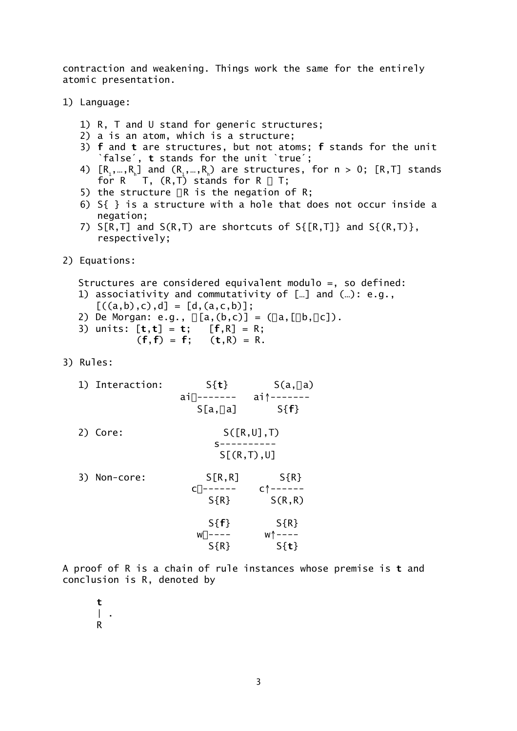contraction and weakening. Things work the same for the entirely atomic presentation.

1) Language:

- 1) R, T and U stand for generic structures;
- 2) a is an atom, which is a structure;
- 3) **f** and **t** are structures, but not atoms; **f** stands for the unit `false´, **t** stands for the unit `true´;
- 4)  $[R_1, ..., R_n]$  and  $(R_1, ..., R_n)$  are structures, for n > 0;  $[R, T]$  stands for R  $\vee$  T, (R, T) stands for R  $\wedge$  T;
- 5) the structure  $\neg R$  is the negation of R;
- 6) S{ } is a structure with a hole that does not occur inside a negation;
- 7)  $S[R,T]$  and  $S(R,T)$  are shortcuts of  $S[{R,T]}$  and  $S({R,T)}$ , respectively;
- 2) Equations:

```
Structures are considered equivalent modulo =, so defined:
```
- 1) associativity and commutativity of […] and (…): e.g.,
	- $[((a,b),c),d] = [d,(a,c,b)]$ ;
- 2) De Morgan: e.g.,  $\neg[a,(b,c)] = (\neg a,[\neg b,\neg c])$ .
- 3) units: [**t**,**t**] = **t**; [**f**,R] = R;  $(f, f) = f$ ;  $(t, R) = R$ .
- 3) Rules:
	- 1) Interaction:  $S\{t\}$  S(a, $\neg a$ )  $ai \rightarrow - - - - - ai \rightarrow - - - - - S[a,-a]$   $S{f}$ 2) Core: S([R,U],T) s----------

S[(R,T),U]

| Non-core:<br>3) | S[R,R]                    | $S{R}$                   |
|-----------------|---------------------------|--------------------------|
|                 | $C \downarrow -$<br>----- | $C \uparrow - - - - - -$ |
|                 | $S{R}$                    | S(R,R)                   |
|                 | $S{f}$                    | $S{R}$                   |
|                 | $W \downarrow - - - -$    | $W \uparrow$ - - - -     |
|                 | $S{R}$                    | $S\{t\}$                 |

A proof of R is a chain of rule instances whose premise is **t** and conclusion is R, denoted by

 **t**  $\| \cdot \|$ R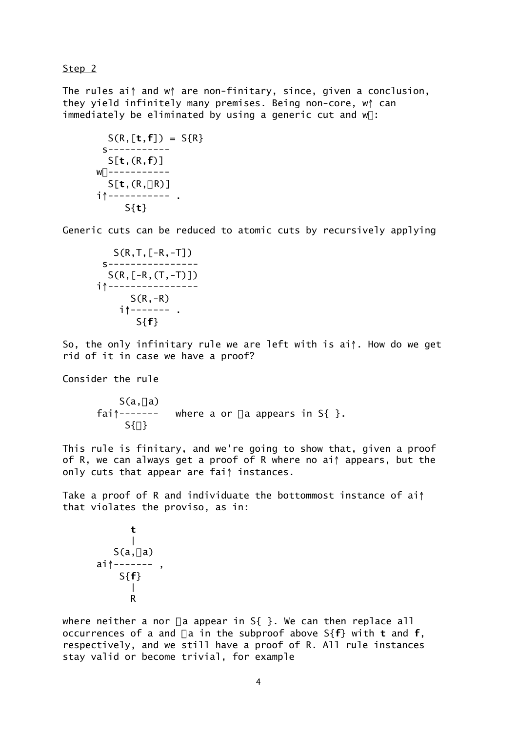Step 2

The rules ai↑ and w↑ are non-finitary, since, given a conclusion, they yield infinitely many premises. Being non-core, w↑ can immediately be eliminated by using a generic cut and  $w\$ :

```
S(R, [t, f]) = S(R) s-----------
   S[t,(R,f)]
W \downarrow - - - - - - - - - - -S[t,(R,-R)] i↑----------- .
       S{t}
```
Generic cuts can be reduced to atomic cuts by recursively applying

```
 S(R,T,[-R,-T])
  s----------------
   S(R,[-R,(T,-T)])
 i↑----------------
      S(R,-R) i↑------- .
        S{f}
```
So, the only infinitary rule we are left with is ai↑. How do we get rid of it in case we have a proof?

Consider the rule

 $S(a, \neg a)$  $fail^{\frown}$ ------ where a or  $\neg a$  appears in S{ }.  $S{1}$ 

This rule is finitary, and we're going to show that, given a proof of R, we can always get a proof of R where no ai↑ appears, but the only cuts that appear are fai↑ instances.

Take a proof of R and individuate the bottommost instance of ai↑ that violates the proviso, as in:

 **t** | S(a,ÿa) ai↑------- , S{**f**} | R

where neither a nor  $\neg a$  appear in S{ }. We can then replace all occurrences of a and  $\neg$  a in the subproof above S{ $f$ } with **t** and  $f$ , respectively, and we still have a proof of R. All rule instances stay valid or become trivial, for example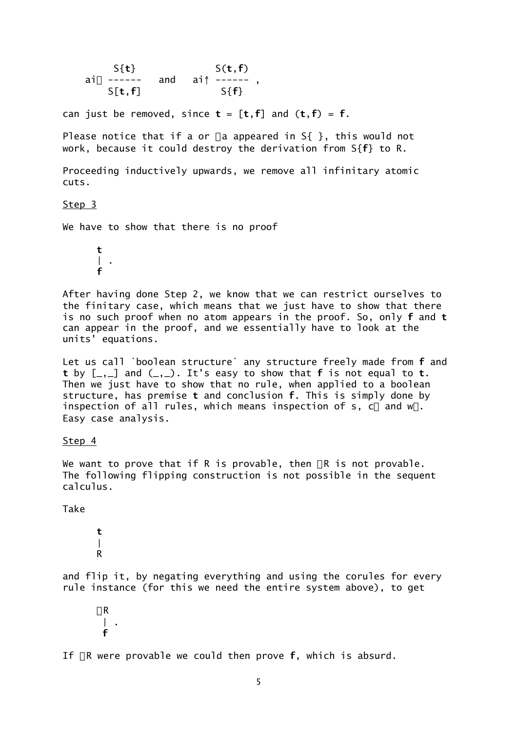S{**t**} S(**t**,**f**)<br>ai<sub>↓</sub> ------ and ai↑ -----and  $ai \uparrow$  ------, S[**t**,**f**] S{**f**}

can just be removed, since  $t = [t, f]$  and  $(t, f) = f$ .

Please notice that if a or  $\neg a$  appeared in S{ }, this would not work, because it could destroy the derivation from S{**f**} to R.

Proceeding inductively upwards, we remove all infinitary atomic cuts.

Step 3

We have to show that there is no proof

 **t**  $\|$ . **f**

After having done Step 2, we know that we can restrict ourselves to the finitary case, which means that we just have to show that there is no such proof when no atom appears in the proof. So, only **f** and **t** can appear in the proof, and we essentially have to look at the units' equations.

Let us call `boolean structure´ any structure freely made from **f** and **t** by [\_,\_] and (\_,\_). It's easy to show that **f** is not equal to **t**. Then we just have to show that no rule, when applied to a boolean structure, has premise **t** and conclusion **f**. This is simply done by inspection of all rules, which means inspection of s, c $\downarrow$  and  $w\downarrow$ . Easy case analysis.

Step 4

We want to prove that if R is provable, then  $\neg R$  is not provable. The following flipping construction is not possible in the sequent calculus.

Take

 **t**  $\blacksquare$ R

and flip it, by negating everything and using the corules for every rule instance (for this we need the entire system above), to get

 $\neg R$  | . **f**

If  $\neg R$  were provable we could then prove  $f$ , which is absurd.